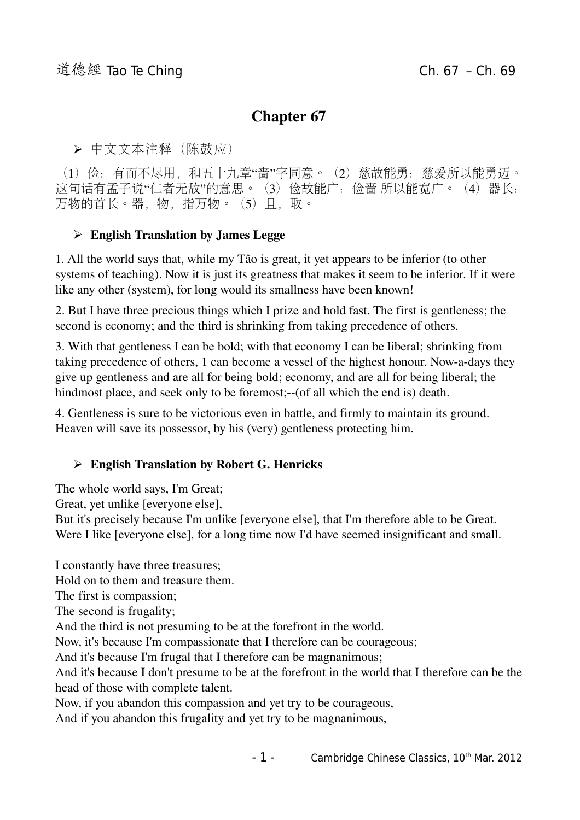# Chapter 67

➢ 中文文本注释(陈鼓应)

(1) 俭: 有而不尽用, 和五十九章"啬"字同意。(2)慈故能勇: 慈爱所以能勇迈。 这句话有孟子说"仁者无敌"的意思。(3)俭故能广:俭啬所以能宽广。(4)器长: 万物的首长。器,物,指万物。(5)且,取。

## $\triangleright$  English Translation by James Legge

1. All the world says that, while my Tâo is great, it yet appears to be inferior (to other systems of teaching). Now it is just its greatness that makes it seem to be inferior. If it were like any other (system), for long would its smallness have been known!

2. But I have three precious things which I prize and hold fast. The first is gentleness; the second is economy; and the third is shrinking from taking precedence of others.

3. With that gentleness I can be bold; with that economy I can be liberal; shrinking from taking precedence of others, 1 can become a vessel of the highest honour. Now-a-days they give up gentleness and are all for being bold; economy, and are all for being liberal; the hindmost place, and seek only to be foremost;--(of all which the end is) death.

4. Gentleness is sure to be victorious even in battle, and firmly to maintain its ground. Heaven will save its possessor, by his (very) gentleness protecting him.

## ➢ English Translation by Robert G. Henricks

The whole world says, I'm Great;

Great, yet unlike [everyone else],

But it's precisely because I'm unlike [everyone else], that I'm therefore able to be Great. Were I like [everyone else], for a long time now I'd have seemed insignificant and small.

I constantly have three treasures;

Hold on to them and treasure them.

The first is compassion;

The second is frugality;

And the third is not presuming to be at the forefront in the world.

Now, it's because I'm compassionate that I therefore can be courageous;

And it's because I'm frugal that I therefore can be magnanimous;

And it's because I don't presume to be at the forefront in the world that I therefore can be the head of those with complete talent.

Now, if you abandon this compassion and yet try to be courageous,

And if you abandon this frugality and yet try to be magnanimous,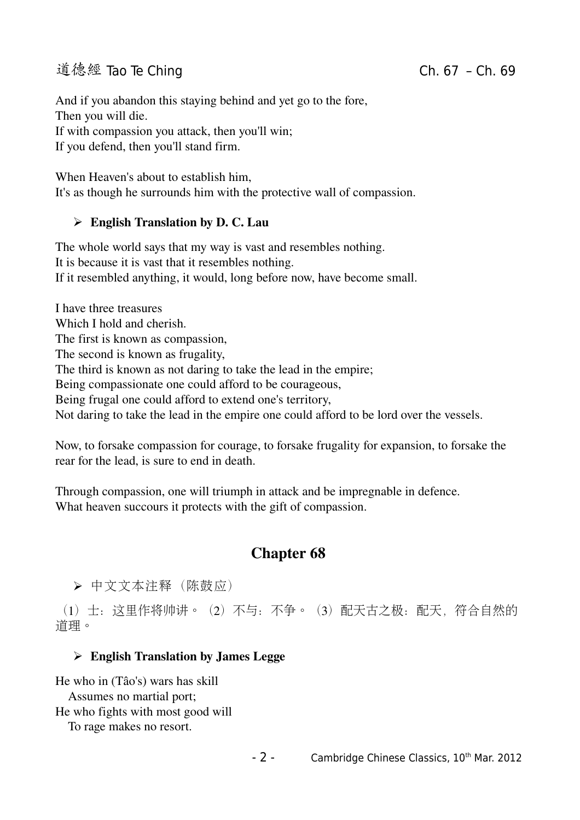# 道德經 Tao Te Ching Change Change Ch. 67 – Ch. 69

And if you abandon this staying behind and yet go to the fore, Then you will die. If with compassion you attack, then you'll win; If you defend, then you'll stand firm.

When Heaven's about to establish him, It's as though he surrounds him with the protective wall of compassion.

## $\triangleright$  English Translation by D. C. Lau

The whole world says that my way is vast and resembles nothing. It is because it is vast that it resembles nothing. If it resembled anything, it would, long before now, have become small.

I have three treasures Which I hold and cherish. The first is known as compassion, The second is known as frugality, The third is known as not daring to take the lead in the empire; Being compassionate one could afford to be courageous, Being frugal one could afford to extend one's territory, Not daring to take the lead in the empire one could afford to be lord over the vessels.

Now, to forsake compassion for courage, to forsake frugality for expansion, to forsake the rear for the lead, is sure to end in death.

Through compassion, one will triumph in attack and be impregnable in defence. What heaven succours it protects with the gift of compassion.

## Chapter 68

➢ 中文文本注释(陈鼓应)

(1)士:这里作将帅讲。(2)不与:不争。(3)配天古之极:配天,符合自然的 道理。

### $\triangleright$  English Translation by James Legge

He who in (Tâo's) wars has skill Assumes no martial port; He who fights with most good will To rage makes no resort.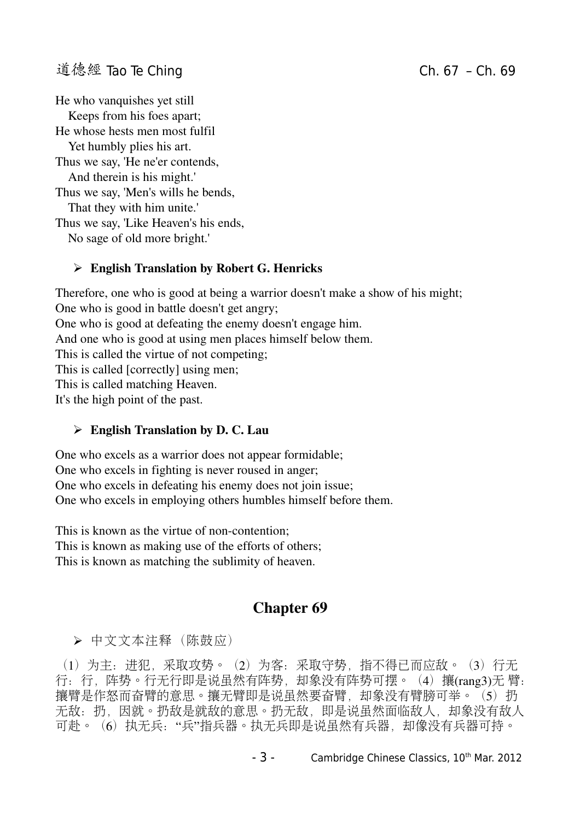# 道德經 Tao Te Ching Change Change Ch. 67 – Ch. 69

He who vanquishes yet still Keeps from his foes apart; He whose hests men most fulfil Yet humbly plies his art. Thus we say, 'He ne'er contends, And therein is his might.' Thus we say, 'Men's wills he bends, That they with him unite.' Thus we say, 'Like Heaven's his ends, No sage of old more bright.'

#### ➢ English Translation by Robert G. Henricks

Therefore, one who is good at being a warrior doesn't make a show of his might; One who is good in battle doesn't get angry; One who is good at defeating the enemy doesn't engage him. And one who is good at using men places himself below them. This is called the virtue of not competing; This is called [correctly] using men; This is called matching Heaven. It's the high point of the past.

#### $\triangleright$  English Translation by D. C. Lau

One who excels as a warrior does not appear formidable; One who excels in fighting is never roused in anger; One who excels in defeating his enemy does not join issue; One who excels in employing others humbles himself before them.

This is known as the virtue of non-contention: This is known as making use of the efforts of others; This is known as matching the sublimity of heaven.

## Chapter 69

➢ 中文文本注释(陈鼓应)

(1)为主:进犯,采取攻势。(2)为客:采取守势,指不得已而应敌。(3)行无 行:行,阵势。行无行即是说虽然有阵势,却象没有阵势可摆。(4)攘(rang3)无 臂: 攘臂是作怒而奋臂的意思。攘无臂即是说虽然要奋臂,却象没有臂膀可举。(5)扔 无敌:扔,因就。扔敌是就敌的意思。扔无敌,即是说虽然面临敌人,却象没有敌人 可赴。(6) 执无兵: "兵"指兵器。执无兵即是说虽然有兵器, 却像没有兵器可持。

- 3 - Cambridge Chinese Classics, 10<sup>th</sup> Mar. 2012